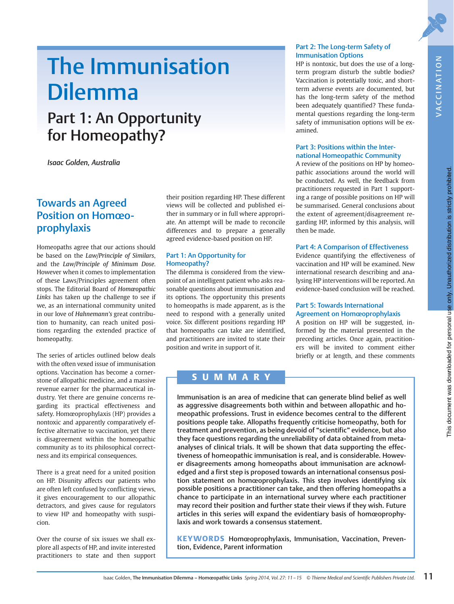NOILANIUVAN

VACCINATION

# The Immunisation Dilemma

## Part 1: An Opportunity for Homeopathy?

Isaac Golden, Australia

## Towards an Agreed Position on Homœoprophylaxis

Homeopaths agree that our actions should be based on the Law/Principle of Similars, and the Law/Principle of Minimum Dose. However when it comes to implementation of these Laws/Principles agreement often stops. The Editorial Board of Homœopathic Links has taken up the challenge to see if we, as an international community united in our love of Hahnemann's great contribution to humanity, can reach united positions regarding the extended practice of homeopathy.

The series of articles outlined below deals with the often vexed issue of immunisation options. Vaccination has become a cornerstone of allopathic medicine, and a massive revenue earner for the pharmaceutical industry. Yet there are genuine concerns regarding its practical effectiveness and safety. Homœoprophylaxis (HP) provides a nontoxic and apparently comparatively effective alternative to vaccination, yet there is disagreement within the homeopathic community as to its philosophical correctness and its empirical consequences.

There is a great need for a united position on HP. Disunity affects our patients who are often left confused by conflicting views, it gives encouragement to our allopathic detractors, and gives cause for regulators to view HP and homeopathy with suspicion.

Over the course of six issues we shall explore all aspects of HP, and invite interested practitioners to state and then support

their position regarding HP. These different views will be collected and published either in summary or in full where appropriate. An attempt will be made to reconcile differences and to prepare a generally agreed evidence-based position on HP.

#### Part 1: An Opportunity for Homeopathy?

The dilemma is considered from the viewpoint of an intelligent patient who asks reasonable questions about immunisation and its options. The opportunity this presents to homeopaths is made apparent, as is the need to respond with a generally united voice. Six different positions regarding HP that homeopaths can take are identified, and practitioners are invited to state their position and write in support of it.

#### Part 2: The Long-term Safety of Immunisation Options

HP is nontoxic, but does the use of a longterm program disturb the subtle bodies? Vaccination is potentially toxic, and shortterm adverse events are documented, but has the long-term safety of the method been adequately quantified? These fundamental questions regarding the long-term safety of immunisation options will be examined.

#### Part 3: Positions within the International Homeopathic Community

A review of the positions on HP by homeopathic associations around the world will be conducted. As well, the feedback from practitioners requested in Part 1 supporting a range of possible positions on HP will be summarised. General conclusions about the extent of agreement/disagreement regarding HP, informed by this analysis, will then be made.

#### Part 4: A Comparison of Effectiveness

Evidence quantifying the effectiveness of vaccination and HP will be examined. New international research describing and analysing HP interventions will be reported. An evidence-based conclusion will be reached.

#### Part 5: Towards International Agreement on Homœoprophylaxis

A position on HP will be suggested, informed by the material presented in the preceding articles. Once again, practitioners will be invited to comment either briefly or at length, and these comments

#### SUMMARY

Immunisation is an area of medicine that can generate blind belief as well as aggressive disagreements both within and between allopathic and homeopathic professions. Trust in evidence becomes central to the different positions people take. Allopaths frequently criticise homeopathy, both for treatment and prevention, as being devoid of "scientific" evidence, but also they face questions regarding the unreliability of data obtained from metaanalyses of clinical trials. It will be shown that data supporting the effectiveness of homeopathic immunisation is real, and is considerable. However disagreements among homeopaths about immunisation are acknowledged and a first step is proposed towards an international consensus position statement on homœoprophylaxis. This step involves identifying six possible positions a practitioner can take, and then offering homeopaths a chance to participate in an international survey where each practitioner may record their position and further state their views if they wish. Future articles in this series will expand the evidentiary basis of homœoprophylaxis and work towards a consensus statement.

KEYWORDS Homœoprophylaxis, Immunisation, Vaccination, Prevention, Evidence, Parent information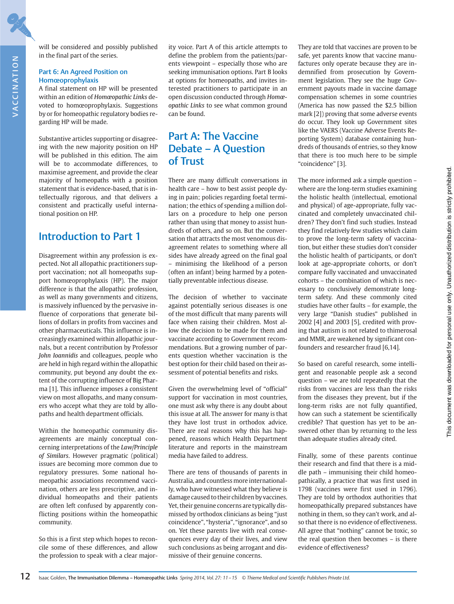will be considered and possibly published in the final part of the series.

#### Part 6: An Agreed Position on Homœoprophylaxis

A final statement on HP will be presented within an edition of Homœopathic Links devoted to homœoprophylaxis. Suggestions by or for homeopathic regulatory bodies regarding HP will be made.

Substantive articles supporting or disagreeing with the new majority position on HP will be published in this edition. The aim will be to accommodate differences, to maximise agreement, and provide the clear majority of homeopaths with a position statement that is evidence-based, that is intellectually rigorous, and that delivers a consistent and practically useful international position on HP.

#### Introduction to Part 1

Disagreement within any profession is expected. Not all allopathic practitioners support vaccination; not all homeopaths support homœoprophylaxis (HP). The major difference is that the allopathic profession, as well as many governments and citizens, is massively influenced by the pervasive influence of corporations that generate billions of dollars in profits from vaccines and other pharmaceuticals. This influence is increasingly examined within allopathic journals, but a recent contribution by Professor John Ioannidis and colleagues, people who are held in high regard within the allopathic community, put beyond any doubt the extent of the corrupting influence of Big Pharma [1]. This influence imposes a consistent view on most allopaths, and many consumers who accept what they are told by allopaths and health department officials.

Within the homeopathic community disagreements are mainly conceptual concerning interpretations of the Law/Principle of Similars. However pragmatic (political) issues are becoming more common due to regulatory pressures. Some national homeopathic associations recommend vaccination, others are less prescriptive, and individual homeopaths and their patients are often left confused by apparently conflicting positions within the homeopathic community.

So this is a first step which hopes to reconcile some of these differences, and allow the profession to speak with a clear majority voice. Part A of this article attempts to define the problem from the patients/parents viewpoint – especially those who are seeking immunisation options. Part B looks at options for homeopaths, and invites interested practitioners to participate in an open discussion conducted through Homœopathic Links to see what common ground can be found.

## Part A: The Vaccine Debate – A Question of Trust

There are many difficult conversations in health care – how to best assist people dying in pain; policies regarding foetal termination; the ethics of spending a million dollars on a procedure to help one person rather than using that money to assist hundreds of others, and so on. But the conversation that attracts the most venomous disagreement relates to something where all sides have already agreed on the final goal – minimising the likelihood of a person (often an infant) being harmed by a potentially preventable infectious disease.

The decision of whether to vaccinate against potentially serious diseases is one of the most difficult that many parents will face when raising their children. Most allow the decision to be made for them and vaccinate according to Government recommendations. But a growing number of parents question whether vaccination is the best option for their child based on their assessment of potential benefits and risks.

Given the overwhelming level of "official" support for vaccination in most countries, one must ask why there is any doubt about this issue at all. The answer for many is that they have lost trust in orthodox advice. There are real reasons why this has happened, reasons which Health Department literature and reports in the mainstream media have failed to address.

There are tens of thousands of parents in Australia, and countless more internationally, who have witnessed what they believe is damage caused to their children by vaccines. Yet, their genuine concerns are typically dismissed by orthodox clinicians as being "just coincidence", "hysteria", "ignorance", and so on. Yet these parents live with real consequences every day of their lives, and view such conclusions as being arrogant and dismissive of their genuine concerns.

They are told that vaccines are proven to be safe, yet parents know that vaccine manufactures only operate because they are indemnified from prosecution by Government legislation. They see the huge Government payouts made in vaccine damage compensation schemes in some countries (America has now passed the \$2.5 billion mark [2]) proving that some adverse events do occur. They look up Government sites like the VAERS (Vaccine Adverse Events Reporting System) database containing hundreds of thousands of entries, so they know that there is too much here to be simple "coincidence" [3].

The more informed ask a simple question – where are the long-term studies examining the holistic health (intellectual, emotional and physical) of age-appropriate, fully vaccinated and completely unvaccinated children? They don't find such studies. Instead they find relatively few studies which claim to prove the long-term safety of vaccination, but either these studies don't consider the holistic health of participants, or don't look at age-appropriate cohorts, or don't compare fully vaccinated and unvaccinated cohorts – the combination of which is necessary to conclusively demonstrate longterm safety. And these commonly cited studies have other faults – for example, the very large "Danish studies" published in 2002 [4] and 2003 [5], credited with proving that autism is not related to thimerosal and MMR, are weakened by significant confounders and researcher fraud [6,14].

So based on careful research, some intelligent and reasonable people ask a second question – we are told repeatedly that the risks from vaccines are less than the risks from the diseases they prevent, but if the long-term risks are not fully quantified, how can such a statement be scientifically credible? That question has yet to be answered other than by returning to the less than adequate studies already cited.

Finally, some of these parents continue their research and find that there is a middle path – immunising their child homeopathically, a practice that was first used in 1798 (vaccines were first used in 1796). They are told by orthodox authorities that homeopathically prepared substances have nothing in them, so they can't work, and also that there is no evidence of effectiveness. All agree that "nothing" cannot be toxic, so the real question then becomes – is there evidence of effectiveness?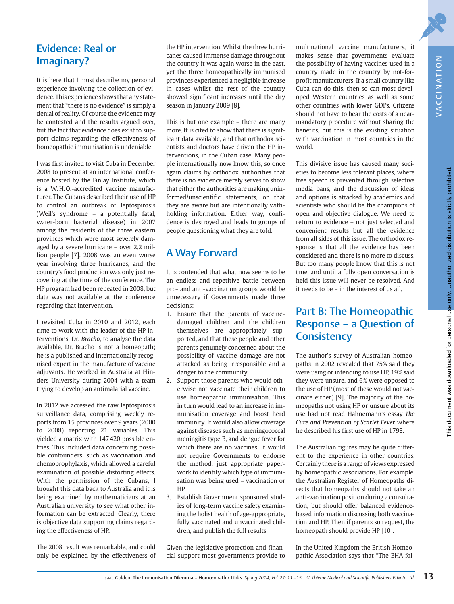## Evidence: Real or Imaginary?

It is here that I must describe my personal experience involving the collection of evidence. This experience shows that any statement that "there is no evidence" is simply a denial of reality. Of course the evidence may be contested and the results argued over, but the fact that evidence does exist to support claims regarding the effectiveness of homeopathic immunisation is undeniable.

I was first invited to visit Cuba in December 2008 to present at an international conference hosted by the Finlay Institute, which is a W. H. O.-accredited vaccine manufacturer. The Cubans described their use of HP to control an outbreak of leptospirosis (Weil's syndrome – a potentially fatal, water-born bacterial disease) in 2007 among the residents of the three eastern provinces which were most severely damaged by a severe hurricane – over 2.2 million people [7]. 2008 was an even worse year involving three hurricanes, and the country's food production was only just recovering at the time of the conference. The HP program had been repeated in 2008, but data was not available at the conference regarding that intervention.

I revisited Cuba in 2010 and 2012, each time to work with the leader of the HP interventions, Dr. Bracho, to analyse the data available. Dr. Bracho is not a homeopath; he is a published and internationally recognised expert in the manufacture of vaccine adjuvants. He worked in Australia at Flinders University during 2004 with a team trying to develop an antimalarial vaccine.

In 2012 we accessed the raw leptospirosis surveillance data, comprising weekly reports from 15 provinces over 9 years (2000 to 2008) reporting 21 variables. This yielded a matrix with 147 420 possible entries. This included data concerning possible confounders, such as vaccination and chemoprophylaxis, which allowed a careful examination of possible distorting effects. With the permission of the Cubans, I brought this data back to Australia and it is being examined by mathematicians at an Australian university to see what other information can be extracted. Clearly, there is objective data supporting claims regarding the effectiveness of HP.

The 2008 result was remarkable, and could only be explained by the effectiveness of

the HP intervention. Whilst the three hurricanes caused immense damage throughout the country it was again worse in the east, yet the three homeopathically immunised provinces experienced a negligible increase in cases whilst the rest of the country showed significant increases until the dry season in January 2009 [8].

This is but one example – there are many more. It is cited to show that there is significant data available, and that orthodox scientists and doctors have driven the HP interventions, in the Cuban case. Many people internationally now know this, so once again claims by orthodox authorities that there is no evidence merely serves to show that either the authorities are making uninformed/unscientific statements, or that they are aware but are intentionally withholding information. Either way, confidence is destroyed and leads to groups of people questioning what they are told.

## A Way Forward

It is contended that what now seems to be an endless and repetitive battle between pro- and anti-vaccination groups would be unnecessary if Governments made three decisions:

- 1. Ensure that the parents of vaccinedamaged children and the children themselves are appropriately supported, and that these people and other parents genuinely concerned about the possibility of vaccine damage are not attacked as being irresponsible and a danger to the community.
- 2. Support those parents who would otherwise not vaccinate their children to use homeopathic immunisation. This in turn would lead to an increase in immunisation coverage and boost herd immunity. It would also allow coverage against diseases such as meningococcal meningitis type B, and dengue fever for which there are no vaccines. It would not require Governments to endorse the method, just appropriate paperwork to identify which type of immunisation was being used – vaccination or HP.
- 3. Establish Government sponsored studies of long-term vaccine safety examining the holist health of age-appropriate, fully vaccinated and unvaccinated children, and publish the full results.

Given the legislative protection and financial support most governments provide to multinational vaccine manufacturers, it makes sense that governments evaluate the possibility of having vaccines used in a country made in the country by not-forprofit manufacturers. If a small country like Cuba can do this, then so can most developed Western countries as well as some other countries with lower GDPs. Citizens should not have to bear the costs of a nearmandatory procedure without sharing the benefits, but this is the existing situation with vaccination in most countries in the world.

This divisive issue has caused many societies to become less tolerant places, where free speech is prevented through selective media bans, and the discussion of ideas and options is attacked by academics and scientists who should be the champions of open and objective dialogue. We need to return to evidence – not just selected and convenient results but all the evidence from all sides of this issue. The orthodox response is that all the evidence has been considered and there is no more to discuss. But too many people know that this is not true, and until a fully open conversation is held this issue will never be resolved. And it needs to be – in the interest of us all.

## Part B: The Homeopathic Response – a Question of **Consistency**

The author's survey of Australian homeopaths in 2002 revealed that 75% said they were using or intending to use HP, 19% said they were unsure, and 6% were opposed to the use of HP (most of these would not vaccinate either) [9]. The majority of the homeopaths not using HP or unsure about its use had not read Hahnemann's essay The Cure and Prevention of Scarlet Fever where he described his first use of HP in 1798.

The Australian figures may be quite different to the experience in other countries. Certainly there is a range of views expressed by homeopathic associations. For example, the Australian Register of Homeopaths directs that homeopaths should not take an anti-vaccination position during a consultation, but should offer balanced evidencebased information discussing both vaccination and HP. Then if parents so request, the homeopath should provide HP [10].

In the United Kingdom the British Homeopathic Association says that "The BHA fol-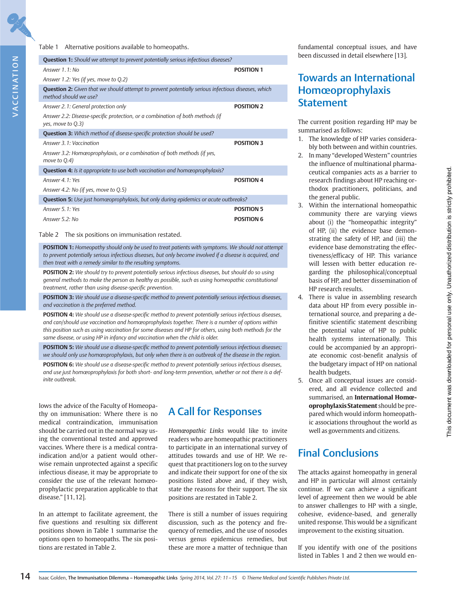#### Table 1 Alternative positions available to homeopaths.

| <b>Question 1:</b> Should we attempt to prevent potentially serious infectious diseases?                                           |                   |
|------------------------------------------------------------------------------------------------------------------------------------|-------------------|
| Answer $1.1:$ No.                                                                                                                  | <b>POSITION 1</b> |
| Answer 1.2: Yes (if yes, move to Q.2)                                                                                              |                   |
| <b>Question 2:</b> Given that we should attempt to prevent potentially serious infectious diseases, which<br>method should we use? |                   |
| Answer 2.1: General protection only                                                                                                | <b>POSITION 2</b> |
| Answer 2.2: Disease-specific protection, or a combination of both methods (if<br>yes, move to Q.3)                                 |                   |
| <b>Question 3:</b> Which method of disease-specific protection should be used?                                                     |                   |
| Answer 3, 1: Vaccination                                                                                                           | <b>POSITION 3</b> |
| Answer 3.2: Homœoprophylaxis, or a combination of both methods (if yes,<br>move to $Q.4$ )                                         |                   |
| Question 4: Is it appropriate to use both vaccination and homoeoprophylaxis?                                                       |                   |
| Answer 4.1: Yes                                                                                                                    | <b>POSITION 4</b> |
| Answer 4.2: No (if yes, move to Q.5)                                                                                               |                   |
| <b>Question 5:</b> Use just homoeoprophylaxis, but only during epidemics or acute outbreaks?                                       |                   |
| Answer 5, 1: Yes                                                                                                                   | <b>POSITION 5</b> |
| Answer 5.2: No                                                                                                                     | <b>POSITION 6</b> |

Table 2 The six positions on immunisation restated.

POSITION 1: Homeopathy should only be used to treat patients with symptoms. We should not attempt to prevent potentially serious infectious diseases, but only become involved if a disease is acquired, and then treat with a remedy similar to the resulting symptoms.

POSITION 2: We should try to prevent potentially serious infectious diseases, but should do so using general methods to make the person as healthy as possible, such as using homeopathic constitutional treatment, rather than using disease-specific prevention.

POSITION 3: We should use a disease-specific method to prevent potentially serious infectious diseases, and vaccination is the preferred method.

POSITION 4: We should use a disease-specific method to prevent potentially serious infectious diseases, and can/should use vaccination and homœoprophylaxis together. There is a number of options within this position such as using vaccination for some diseases and HP for others, using both methods for the same disease, or using HP in infancy and vaccination when the child is older.

POSITION 5: We should use a disease-specific method to prevent potentially serious infectious diseases; we should only use homœoprophylaxis, but only when there is an outbreak of the disease in the region.

POSITION 6: We should use a disease-specific method to prevent potentially serious infectious diseases, and use just homœoprophylaxis for both short- and long-term prevention, whether or not there is a definite outbreak.

lows the advice of the Faculty of Homeopathy on immunisation: Where there is no medical contraindication, immunisation should be carried out in the normal way using the conventional tested and approved vaccines. Where there is a medical contraindication and/or a patient would otherwise remain unprotected against a specific infectious disease, it may be appropriate to consider the use of the relevant homœoprophylactic preparation applicable to that disease." [11, 12].

In an attempt to facilitate agreement, the five questions and resulting six different positions shown in Table 1 summarise the options open to homeopaths. The six positions are restated in Table 2.

#### A Call for Responses

Homœopathic Links would like to invite readers who are homeopathic practitioners to participate in an international survey of attitudes towards and use of HP. We request that practitioners log on to the survey and indicate their support for one of the six positions listed above and, if they wish, state the reasons for their support. The six positions are restated in Table 2.

There is still a number of issues requiring discussion, such as the potency and frequency of remedies, and the use of nosodes versus genus epidemicus remedies, but these are more a matter of technique than fundamental conceptual issues, and have been discussed in detail elsewhere [13].

## Towards an International Homœoprophylaxis **Statement**

The current position regarding HP may be summarised as follows:

- 1. The knowledge of HP varies considerably both between and within countries.
- 2. In many "developed Western" countries the influence of multinational pharmaceutical companies acts as a barrier to research findings about HP reaching orthodox practitioners, politicians, and the general public.
- 3. Within the international homeopathic community there are varying views about (i) the "homeopathic integrity" of HP, (ii) the evidence base demonstrating the safety of HP, and (iii) the evidence base demonstrating the effectiveness/efficacy of HP. This variance will lessen with better education regarding the philosophical/conceptual basis of HP, and better dissemination of HP research results.
- 4. There is value in assembling research data about HP from every possible international source, and preparing a definitive scientific statement describing the potential value of HP to public health systems internationally. This could be accompanied by an appropriate economic cost-benefit analysis of the budgetary impact of HP on national health budgets.
- 5. Once all conceptual issues are considered, and all evidence collected and summarised, an International Homœoprophylaxis Statement should be prepared which would inform homeopathic associations throughout the world as well as governments and citizens.

## Final Conclusions

The attacks against homeopathy in general and HP in particular will almost certainly continue. If we can achieve a significant level of agreement then we would be able to answer challenges to HP with a single, cohesive, evidence-based, and generally united response. This would be a significant improvement to the existing situation.

If you identify with one of the positions listed in Tables 1 and 2 then we would en